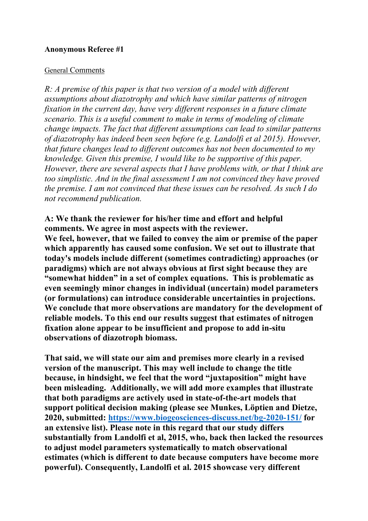#### **Anonymous Referee #1**

#### General Comments

*R: A premise of this paper is that two version of a model with different assumptions about diazotrophy and which have similar patterns of nitrogen fixation in the current day, have very different responses in a future climate scenario. This is a useful comment to make in terms of modeling of climate change impacts. The fact that different assumptions can lead to similar patterns of diazotrophy has indeed been seen before (e.g. Landolfi et al 2015). However, that future changes lead to different outcomes has not been documented to my knowledge. Given this premise, I would like to be supportive of this paper. However, there are several aspects that I have problems with, or that I think are too simplistic. And in the final assessment I am not convinced they have proved the premise. I am not convinced that these issues can be resolved. As such I do not recommend publication.*

**A: We thank the reviewer for his/her time and effort and helpful comments. We agree in most aspects with the reviewer. We feel, however, that we failed to convey the aim or premise of the paper which apparently has caused some confusion. We set out to illustrate that today's models include different (sometimes contradicting) approaches (or paradigms) which are not always obvious at first sight because they are "somewhat hidden" in a set of complex equations. This is problematic as even seemingly minor changes in individual (uncertain) model parameters (or formulations) can introduce considerable uncertainties in projections. We conclude that more observations are mandatory for the development of reliable models. To this end our results suggest that estimates of nitrogen fixation alone appear to be insufficient and propose to add in-situ observations of diazotroph biomass.**

**That said, we will state our aim and premises more clearly in a revised version of the manuscript. This may well include to change the title because, in hindsight, we feel that the word "juxtaposition" might have been misleading. Additionally, we will add more examples that illustrate that both paradigms are actively used in state-of-the-art models that support political decision making (please see Munkes, Löptien and Dietze, 2020, submitted: https://www.biogeosciences-discuss.net/bg-2020-151/ for an extensive list). Please note in this regard that our study differs substantially from Landolfi et al, 2015, who, back then lacked the resources to adjust model parameters systematically to match observational estimates (which is different to date because computers have become more powerful). Consequently, Landolfi et al. 2015 showcase very different**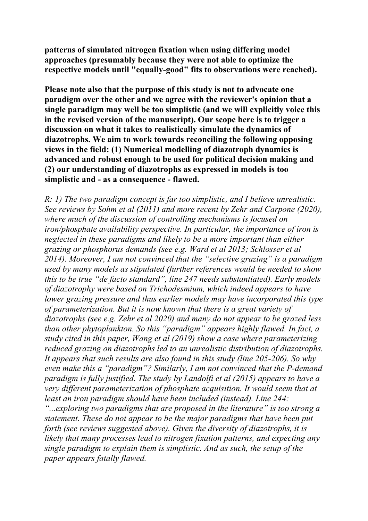**patterns of simulated nitrogen fixation when using differing model approaches (presumably because they were not able to optimize the respective models until "equally-good" fits to observations were reached).**

**Please note also that the purpose of this study is not to advocate one paradigm over the other and we agree with the reviewer's opinion that a single paradigm may well be too simplistic (and we will explicitly voice this in the revised version of the manuscript). Our scope here is to trigger a discussion on what it takes to realistically simulate the dynamics of diazotrophs. We aim to work towards reconciling the following opposing views in the field: (1) Numerical modelling of diazotroph dynamics is advanced and robust enough to be used for political decision making and (2) our understanding of diazotrophs as expressed in models is too simplistic and - as a consequence - flawed.**

*R: 1) The two paradigm concept is far too simplistic, and I believe unrealistic. See reviews by Sohm et al (2011) and more recent by Zehr and Carpone (2020), where much of the discussion of controlling mechanisms is focused on iron/phosphate availability perspective. In particular, the importance of iron is neglected in these paradigms and likely to be a more important than either grazing or phosphorus demands (see e.g. Ward et al 2013; Schlosser et al 2014). Moreover, I am not convinced that the "selective grazing" is a paradigm used by many models as stipulated (further references would be needed to show this to be true "de facto standard", line 247 needs substantiated). Early models of diazotrophy were based on Trichodesmium, which indeed appears to have lower grazing pressure and thus earlier models may have incorporated this type of parameterization. But it is now known that there is a great variety of diazotrophs (see e.g. Zehr et al 2020) and many do not appear to be grazed less than other phytoplankton. So this "paradigm" appears highly flawed. In fact, a study cited in this paper, Wang et al (2019) show a case where parameterizing reduced grazing on diazotrophs led to an unrealistic distribution of diazotrophs. It appears that such results are also found in this study (line 205-206). So why even make this a "paradigm"? Similarly, I am not convinced that the P-demand paradigm is fully justified. The study by Landolfi et al (2015) appears to have a very different parameterization of phosphate acquisition. It would seem that at least an iron paradigm should have been included (instead). Line 244: "...exploring two paradigms that are proposed in the literature" is too strong a statement. These do not appear to be the major paradigms that have been put forth (see reviews suggested above). Given the diversity of diazotrophs, it is likely that many processes lead to nitrogen fixation patterns, and expecting any single paradigm to explain them is simplistic. And as such, the setup of the paper appears fatally flawed.*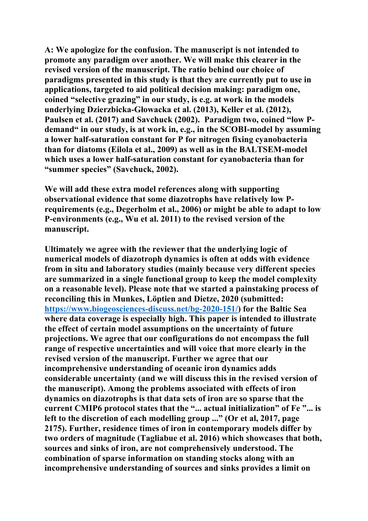**A: We apologize for the confusion. The manuscript is not intended to promote any paradigm over another. We will make this clearer in the revised version of the manuscript. The ratio behind our choice of paradigms presented in this study is that they are currently put to use in applications, targeted to aid political decision making: paradigm one, coined "selective grazing" in our study, is e.g. at work in the models underlying Dzierzbicka-Głowacka et al. (2013), Keller et al. (2012), Paulsen et al. (2017) and Savchuck (2002). Paradigm two, coined "low Pdemand" in our study, is at work in, e.g., in the SCOBI-model by assuming a lower half-saturation constant for P for nitrogen fixing cyanobacteria than for diatoms (Eilola et al., 2009) as well as in the BALTSEM-model which uses a lower half-saturation constant for cyanobacteria than for "summer species" (Savchuck, 2002).**

**We will add these extra model references along with supporting observational evidence that some diazotrophs have relatively low Prequirements (e.g., Degerholm et al., 2006) or might be able to adapt to low P-environments (e.g., Wu et al. 2011) to the revised version of the manuscript.**

**Ultimately we agree with the reviewer that the underlying logic of numerical models of diazotroph dynamics is often at odds with evidence from in situ and laboratory studies (mainly because very different species are summarized in a single functional group to keep the model complexity on a reasonable level). Please note that we started a painstaking process of reconciling this in Munkes, Löptien and Dietze, 2020 (submitted: https://www.biogeosciences-discuss.net/bg-2020-151/) for the Baltic Sea where data coverage is especially high. This paper is intended to illustrate the effect of certain model assumptions on the uncertainty of future projections. We agree that our configurations do not encompass the full range of respective uncertainties and will voice that more clearly in the revised version of the manuscript. Further we agree that our incomprehensive understanding of oceanic iron dynamics adds considerable uncertainty (and we will discuss this in the revised version of the manuscript). Among the problems associated with effects of iron dynamics on diazotrophs is that data sets of iron are so sparse that the current CMIP6 protocol states that the "... actual initialization" of Fe "... is left to the discretion of each modelling group ..." (Or et al, 2017, page 2175). Further, residence times of iron in contemporary models differ by two orders of magnitude (Tagliabue et al. 2016) which showcases that both, sources and sinks of iron, are not comprehensively understood. The combination of sparse information on standing stocks along with an incomprehensive understanding of sources and sinks provides a limit on**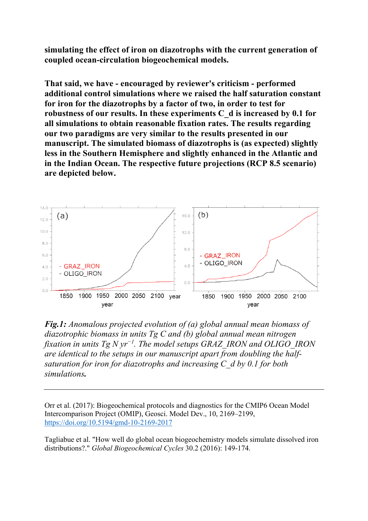**simulating the effect of iron on diazotrophs with the current generation of coupled ocean-circulation biogeochemical models.**

**That said, we have - encouraged by reviewer's criticism - performed additional control simulations where we raised the half saturation constant for iron for the diazotrophs by a factor of two, in order to test for robustness of our results. In these experiments C\_d is increased by 0.1 for all simulations to obtain reasonable fixation rates. The results regarding our two paradigms are very similar to the results presented in our manuscript. The simulated biomass of diazotrophs is (as expected) slightly less in the Southern Hemisphere and slightly enhanced in the Atlantic and in the Indian Ocean. The respective future projections (RCP 8.5 scenario) are depicted below.** 



*Fig.1: Anomalous projected evolution of (a) global annual mean biomass of diazotrophic biomass in units Tg C and (b) global annual mean nitrogen fixation in units Tg N yr−1 . The model setups GRAZ\_IRON and OLIGO\_IRON are identical to the setups in our manuscript apart from doubling the halfsaturation for iron for diazotrophs and increasing C\_d by 0.1 for both simulations.* 

Orr et al. (2017): Biogeochemical protocols and diagnostics for the CMIP6 Ocean Model Intercomparison Project (OMIP), Geosci. Model Dev., 10, 2169–2199, https://doi.org/10.5194/gmd-10-2169-2017

Tagliabue et al. "How well do global ocean biogeochemistry models simulate dissolved iron distributions?." *Global Biogeochemical Cycles* 30.2 (2016): 149-174.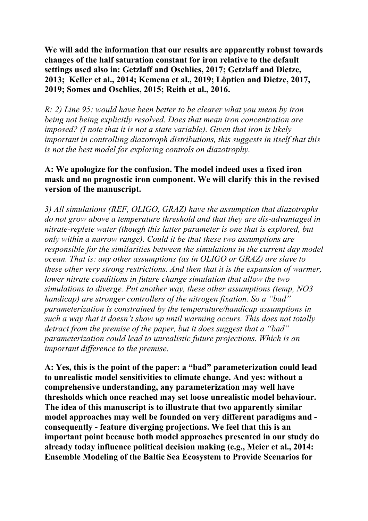**We will add the information that our results are apparently robust towards changes of the half saturation constant for iron relative to the default settings used also in: Getzlaff and Oschlies, 2017; Getzlaff and Dietze, 2013; Keller et al., 2014; Kemena et al., 2019; Löptien and Dietze, 2017, 2019; Somes and Oschlies, 2015; Reith et al., 2016.**

*R: 2) Line 95: would have been better to be clearer what you mean by iron being not being explicitly resolved. Does that mean iron concentration are imposed? (I note that it is not a state variable). Given that iron is likely important in controlling diazotroph distributions, this suggests in itself that this is not the best model for exploring controls on diazotrophy.*

## **A: We apologize for the confusion. The model indeed uses a fixed iron mask and no prognostic iron component. We will clarify this in the revised version of the manuscript.**

*3) All simulations (REF, OLIGO, GRAZ) have the assumption that diazotrophs do not grow above a temperature threshold and that they are dis-advantaged in nitrate-replete water (though this latter parameter is one that is explored, but only within a narrow range). Could it be that these two assumptions are responsible for the similarities between the simulations in the current day model ocean. That is: any other assumptions (as in OLIGO or GRAZ) are slave to these other very strong restrictions. And then that it is the expansion of warmer, lower nitrate conditions in future change simulation that allow the two simulations to diverge. Put another way, these other assumptions (temp, NO3 handicap) are stronger controllers of the nitrogen fixation. So a "bad" parameterization is constrained by the temperature/handicap assumptions in such a way that it doesn't show up until warming occurs. This does not totally detract from the premise of the paper, but it does suggest that a "bad" parameterization could lead to unrealistic future projections. Which is an important difference to the premise.*

**A: Yes, this is the point of the paper: a "bad" parameterization could lead to unrealistic model sensitivities to climate change. And yes: without a comprehensive understanding, any parameterization may well have thresholds which once reached may set loose unrealistic model behaviour. The idea of this manuscript is to illustrate that two apparently similar model approaches may well be founded on very different paradigms and consequently - feature diverging projections. We feel that this is an important point because both model approaches presented in our study do already today influence political decision making (e.g., Meier et al., 2014: Ensemble Modeling of the Baltic Sea Ecosystem to Provide Scenarios for**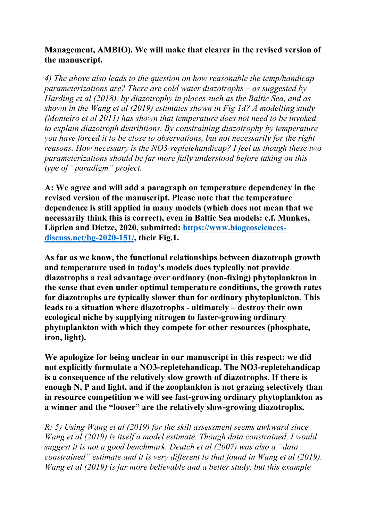# **Management, AMBIO). We will make that clearer in the revised version of the manuscript.**

*4) The above also leads to the question on how reasonable the temp/handicap parameterizations are? There are cold water diazotrophs – as suggested by Harding et al (2018), by diazotrophy in places such as the Baltic Sea, and as shown in the Wang et al (2019) estimates shown in Fig 1d? A modelling study (Monteiro et al 2011) has shown that temperature does not need to be invoked to explain diazotroph distribtions. By constraining diazotrophy by temperature you have forced it to be close to observations, but not necessarily for the right reasons. How necessary is the NO3-repletehandicap? I feel as though these two parameterizations should be far more fully understood before taking on this type of "paradigm" project.*

**A: We agree and will add a paragraph on temperature dependency in the revised version of the manuscript. Please note that the temperature dependence is still applied in many models (which does not mean that we necessarily think this is correct), even in Baltic Sea models: c.f. Munkes, Löptien and Dietze, 2020, submitted: https://www.biogeosciencesdiscuss.net/bg-2020-151/, their Fig.1.**

**As far as we know, the functional relationships between diazotroph growth and temperature used in today's models does typically not provide diazotrophs a real advantage over ordinary (non-fixing) phytoplankton in the sense that even under optimal temperature conditions, the growth rates for diazotrophs are typically slower than for ordinary phytoplankton. This leads to a situation where diazotrophs - ultimately – destroy their own ecological niche by supplying nitrogen to faster-growing ordinary phytoplankton with which they compete for other resources (phosphate, iron, light).** 

**We apologize for being unclear in our manuscript in this respect: we did not explicitly formulate a NO3-repletehandicap. The NO3-repletehandicap is a consequence of the relatively slow growth of diazotrophs. If there is enough N, P and light, and if the zooplankton is not grazing selectively than in resource competition we will see fast-growing ordinary phytoplankton as a winner and the "looser" are the relatively slow-growing diazotrophs.** 

*R: 5) Using Wang et al (2019) for the skill assessment seems awkward since Wang et al (2019) is itself a model estimate. Though data constrained, I would suggest it is not a good benchmark. Deutch et al (2007) was also a "data constrained" estimate and it is very different to that found in Wang et al (2019). Wang et al (2019) is far more believable and a better study, but this example*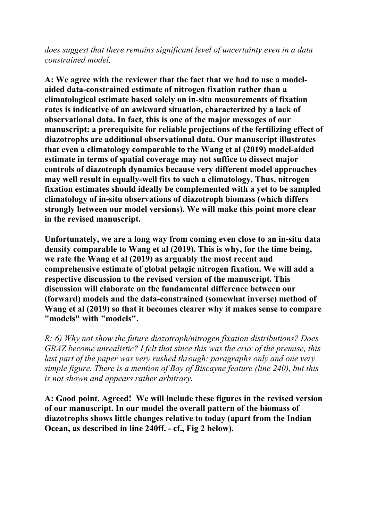*does suggest that there remains significant level of uncertainty even in a data constrained model,*

**A: We agree with the reviewer that the fact that we had to use a modelaided data-constrained estimate of nitrogen fixation rather than a climatological estimate based solely on in-situ measurements of fixation rates is indicative of an awkward situation, characterized by a lack of observational data. In fact, this is one of the major messages of our manuscript: a prerequisite for reliable projections of the fertilizing effect of diazotrophs are additional observational data. Our manuscript illustrates that even a climatology comparable to the Wang et al (2019) model-aided estimate in terms of spatial coverage may not suffice to dissect major controls of diazotroph dynamics because very different model approaches may well result in equally-well fits to such a climatology. Thus, nitrogen fixation estimates should ideally be complemented with a yet to be sampled climatology of in-situ observations of diazotroph biomass (which differs strongly between our model versions). We will make this point more clear in the revised manuscript.** 

**Unfortunately, we are a long way from coming even close to an in-situ data density comparable to Wang et al (2019). This is why, for the time being, we rate the Wang et al (2019) as arguably the most recent and comprehensive estimate of global pelagic nitrogen fixation. We will add a respective discussion to the revised version of the manuscript. This discussion will elaborate on the fundamental difference between our (forward) models and the data-constrained (somewhat inverse) method of Wang et al (2019) so that it becomes clearer why it makes sense to compare "models" with "models".** 

*R: 6) Why not show the future diazotroph/nitrogen fixation distributions? Does GRAZ become unrealistic? I felt that since this was the crux of the premise, this last part of the paper was very rushed through: paragraphs only and one very simple figure. There is a mention of Bay of Biscayne feature (line 240), but this is not shown and appears rather arbitrary.*

**A: Good point. Agreed! We will include these figures in the revised version of our manuscript. In our model the overall pattern of the biomass of diazotrophs shows little changes relative to today (apart from the Indian Ocean, as described in line 240ff. - cf., Fig 2 below).**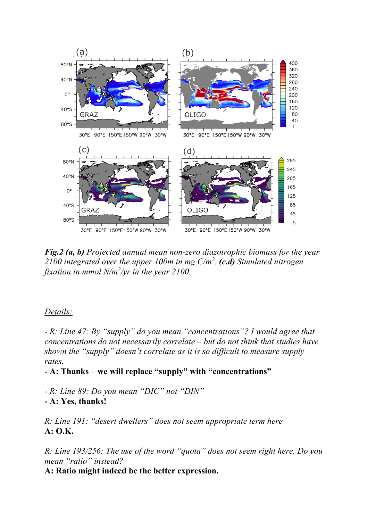

*Fig.2 (a, b) Projected annual mean non-zero diazotrophic biomass for the year 2100 integrated over the upper 100m in mg C/m2 . (c.d) Simulated nitrogen*  fixation in mmol N/m<sup>2</sup>/yr in the year 2100.

## *Details:*

*- R: Line 47: By "supply" do you mean "concentrations"? I would agree that concentrations do not necessarily correlate – but do not think that studies have shown the "supply" doesn't correlate as it is so difficult to measure supply rates.*

**- A: Thanks – we will replace "supply" with "concentrations"**

*- R: Line 89: Do you mean "DIC" not "DIN"*  **- A: Yes, thanks!**

*R: Line 191: "desert dwellers" does not seem appropriate term here* **A: O.K.**

*R: Line 193/256: The use of the word "quota" does not seem right here. Do you mean "ratio" instead?* 

**A: Ratio might indeed be the better expression.**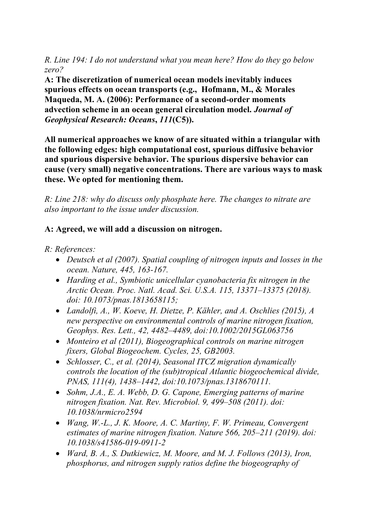*R. Line 194: I do not understand what you mean here? How do they go below zero?* 

**A: The discretization of numerical ocean models inevitably induces spurious effects on ocean transports (e.g., Hofmann, M., & Morales Maqueda, M. A. (2006): Performance of a second‐order moments advection scheme in an ocean general circulation model.** *Journal of Geophysical Research: Oceans***,** *111***(C5)).**

**All numerical approaches we know of are situated within a triangular with the following edges: high computational cost, spurious diffusive behavior and spurious dispersive behavior. The spurious dispersive behavior can cause (very small) negative concentrations. There are various ways to mask these. We opted for mentioning them.**

*R: Line 218: why do discuss only phosphate here. The changes to nitrate are also important to the issue under discussion.*

# **A: Agreed, we will add a discussion on nitrogen.**

*R: References:* 

- *Deutsch et al (2007). Spatial coupling of nitrogen inputs and losses in the ocean. Nature, 445, 163-167.*
- *Harding et al., Symbiotic unicellular cyanobacteria fix nitrogen in the Arctic Ocean. Proc. Natl. Acad. Sci. U.S.A. 115, 13371–13375 (2018). doi: 10.1073/pnas.1813658115;*
- *Landolfi, A., W. Koeve, H. Dietze, P. Kähler, and A. Oschlies (2015), A new perspective on environmental controls of marine nitrogen fixation, Geophys. Res. Lett., 42, 4482–4489, doi:10.1002/2015GL063756*
- *Monteiro et al (2011), Biogeographical controls on marine nitrogen fixers, Global Biogeochem. Cycles, 25, GB2003.*
- *Schlosser, C., et al. (2014), Seasonal ITCZ migration dynamically controls the location of the (sub)tropical Atlantic biogeochemical divide, PNAS, 111(4), 1438–1442, doi:10.1073/pnas.1318670111.*
- *Sohm, J.A., E. A. Webb, D. G. Capone, Emerging patterns of marine nitrogen fixation. Nat. Rev. Microbiol. 9, 499–508 (2011). doi: 10.1038/nrmicro2594*
- *Wang, W.-L., J. K. Moore, A. C. Martiny, F. W. Primeau, Convergent estimates of marine nitrogen fixation. Nature 566, 205–211 (2019). doi: 10.1038/s41586-019-0911-2*
- *Ward, B. A., S. Dutkiewicz, M. Moore, and M. J. Follows (2013), Iron, phosphorus, and nitrogen supply ratios define the biogeography of*